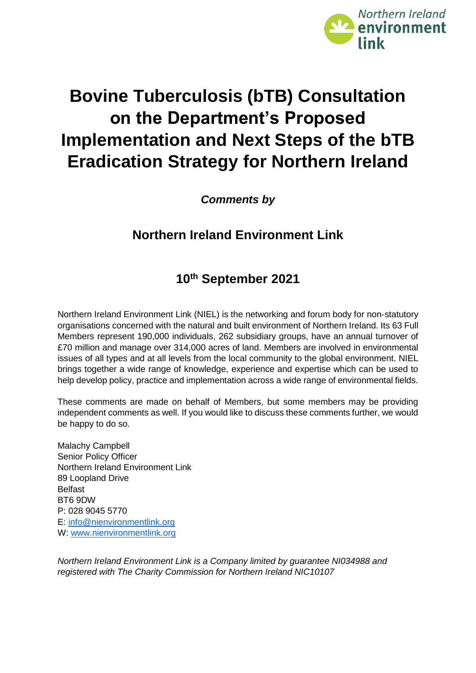

# **Bovine Tuberculosis (bTB) Consultation on the Department's Proposed Implementation and Next Steps of the bTB Eradication Strategy for Northern Ireland**

*Comments by*

# **Northern Ireland Environment Link**

# **10th September 2021**

Northern Ireland Environment Link (NIEL) is the networking and forum body for non‐statutory organisations concerned with the natural and built environment of Northern Ireland. Its 63 Full Members represent 190,000 individuals, 262 subsidiary groups, have an annual turnover of £70 million and manage over 314,000 acres of land. Members are involved in environmental issues of all types and at all levels from the local community to the global environment. NIEL brings together a wide range of knowledge, experience and expertise which can be used to help develop policy, practice and implementation across a wide range of environmental fields.

These comments are made on behalf of Members, but some members may be providing independent comments as well. If you would like to discuss these comments further, we would be happy to do so.

Malachy Campbell Senior Policy Officer Northern Ireland Environment Link 89 Loopland Drive Belfast BT6 9DW P: 028 9045 5770 E: [info@nienvironmentlink.org](mailto:info@nienvironmentlink.org) W: [www.nienvironmentlink.org](http://www.nienvironmentlink.org/)

*Northern Ireland Environment Link is a Company limited by guarantee NI034988 and registered with The Charity Commission for Northern Ireland NIC10107*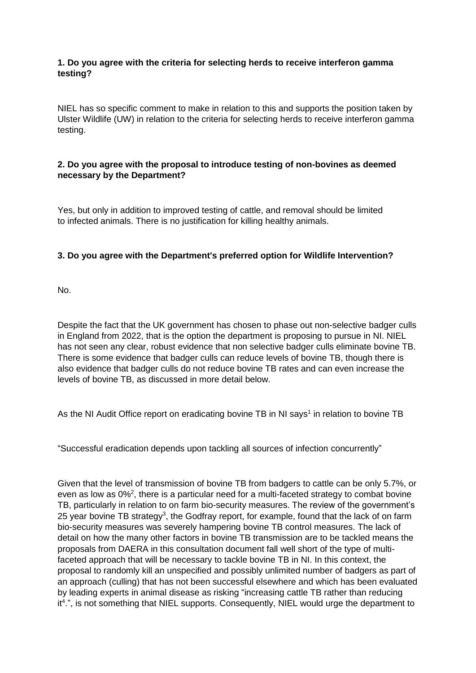# **1. Do you agree with the criteria for selecting herds to receive interferon gamma testing?**

NIEL has so specific comment to make in relation to this and supports the position taken by Ulster Wildlife (UW) in relation to the criteria for selecting herds to receive interferon gamma testing.

## **2. Do you agree with the proposal to introduce testing of non-bovines as deemed necessary by the Department?**

Yes, but only in addition to improved testing of cattle, and removal should be limited to infected animals. There is no justification for killing healthy animals.

## **3. Do you agree with the Department's preferred option for Wildlife Intervention?**

No.

Despite the fact that the UK government has chosen to phase out non-selective badger culls in England from 2022, that is the option the department is proposing to pursue in NI. NIEL has not seen any clear, robust evidence that non selective badger culls eliminate bovine TB. There is some evidence that badger culls can reduce levels of bovine TB, though there is also evidence that badger culls do not reduce bovine TB rates and can even increase the levels of bovine TB, as discussed in more detail below.

As the NI Audit Office report on eradicating bovine TB in NI says<sup>1</sup> in relation to bovine TB

"Successful eradication depends upon tackling all sources of infection concurrently"

Given that the level of transmission of bovine TB from badgers to cattle can be only 5.7%, or even as low as 0%<sup>2</sup>, there is a particular need for a multi-faceted strategy to combat bovine TB, particularly in relation to on farm bio-security measures. The review of the government's 25 year bovine TB strategy<sup>3</sup>, the Godfray report, for example, found that the lack of on farm bio-security measures was severely hampering bovine TB control measures. The lack of detail on how the many other factors in bovine TB transmission are to be tackled means the proposals from DAERA in this consultation document fall well short of the type of multifaceted approach that will be necessary to tackle bovine TB in NI. In this context, the proposal to randomly kill an unspecified and possibly unlimited number of badgers as part of an approach (culling) that has not been successful elsewhere and which has been evaluated by leading experts in animal disease as risking "increasing cattle TB rather than reducing it<sup>4</sup>.", is not something that NIEL supports. Consequently, NIEL would urge the department to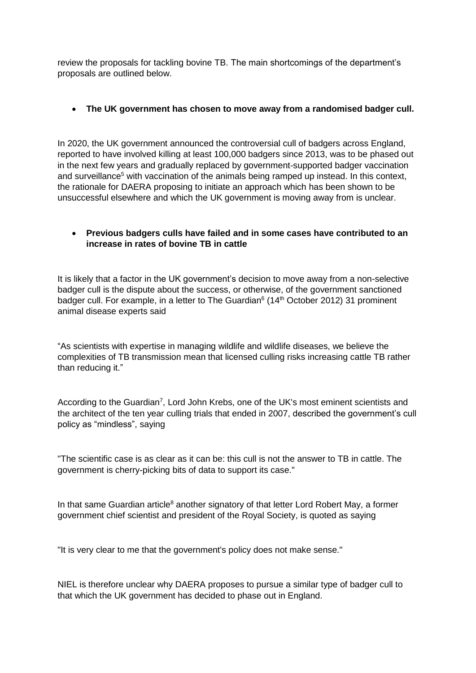review the proposals for tackling bovine TB. The main shortcomings of the department's proposals are outlined below.

#### **The UK government has chosen to move away from a randomised badger cull.**

In 2020, the UK government announced the controversial cull of badgers across England, reported to have involved killing at least 100,000 badgers since 2013, was to be phased out in the next few years and gradually replaced by government-supported badger vaccination and surveillance<sup>5</sup> with vaccination of the animals being ramped up instead. In this context, the rationale for DAERA proposing to initiate an approach which has been shown to be unsuccessful elsewhere and which the UK government is moving away from is unclear.

# **Previous badgers culls have failed and in some cases have contributed to an increase in rates of bovine TB in cattle**

It is likely that a factor in the UK government's decision to move away from a non-selective badger cull is the dispute about the success, or otherwise, of the government sanctioned badger cull. For example, in a letter to The Guardian<sup>6</sup> (14<sup>th</sup> October 2012) 31 prominent animal disease experts said

"As scientists with expertise in managing wildlife and wildlife diseases, we believe the complexities of TB transmission mean that licensed culling risks increasing cattle TB rather than reducing it."

According to the Guardian<sup>7</sup>, Lord John Krebs, one of the UK's most eminent scientists and the architect of the ten year culling trials that ended in 2007, described the government's cull policy as "mindless", saying

"The scientific case is as clear as it can be: this cull is not the answer to TB in cattle. The government is cherry-picking bits of data to support its case."

In that same Guardian article<sup>8</sup> another signatory of that letter Lord Robert May, a former government chief scientist and president of the Royal Society, is quoted as saying

"It is very clear to me that the government's policy does not make sense."

NIEL is therefore unclear why DAERA proposes to pursue a similar type of badger cull to that which the UK government has decided to phase out in England.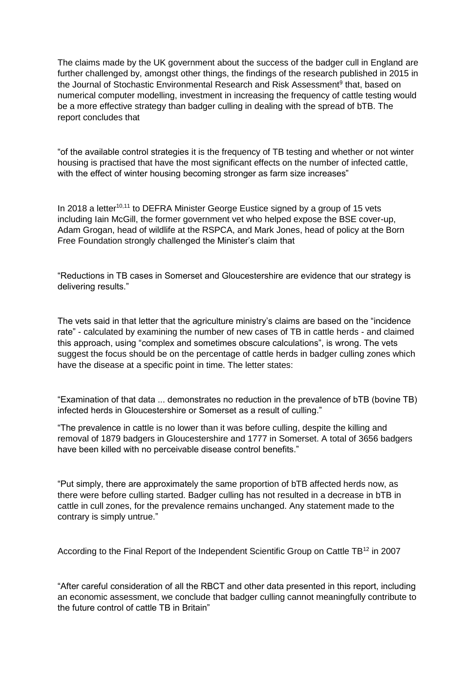The claims made by the UK government about the success of the badger cull in England are further challenged by, amongst other things, the findings of the research published in 2015 in the Journal of Stochastic Environmental Research and Risk Assessment<sup>9</sup> that, based on numerical computer modelling, investment in increasing the frequency of cattle testing would be a more effective strategy than badger culling in dealing with the spread of bTB. The report concludes that

"of the available control strategies it is the frequency of TB testing and whether or not winter housing is practised that have the most significant effects on the number of infected cattle, with the effect of winter housing becoming stronger as farm size increases"

In 2018 a letter<sup>10,11</sup> to DEFRA Minister George Eustice signed by a group of 15 vets including Iain McGill, the former government vet who helped expose the BSE cover-up, Adam Grogan, head of wildlife at the RSPCA, and Mark Jones, head of policy at the Born Free Foundation strongly challenged the Minister's claim that

"Reductions in TB cases in Somerset and Gloucestershire are evidence that our strategy is delivering results."

The vets said in that letter that the agriculture ministry's claims are based on the "incidence rate" - calculated by examining the number of new cases of TB in cattle herds - and claimed this approach, using "complex and sometimes obscure calculations", is wrong. The vets suggest the focus should be on the percentage of cattle herds in badger culling zones which have the disease at a specific point in time. The letter states:

"Examination of that data ... demonstrates no reduction in the prevalence of bTB (bovine TB) infected herds in Gloucestershire or Somerset as a result of culling."

"The prevalence in cattle is no lower than it was before culling, despite the killing and removal of 1879 badgers in Gloucestershire and 1777 in Somerset. A total of 3656 badgers have been killed with no perceivable disease control benefits."

"Put simply, there are approximately the same proportion of bTB affected herds now, as there were before culling started. Badger culling has not resulted in a decrease in bTB in cattle in cull zones, for the prevalence remains unchanged. Any statement made to the contrary is simply untrue."

According to the Final Report of the Independent Scientific Group on Cattle TB<sup>12</sup> in 2007

"After careful consideration of all the RBCT and other data presented in this report, including an economic assessment, we conclude that badger culling cannot meaningfully contribute to the future control of cattle TB in Britain"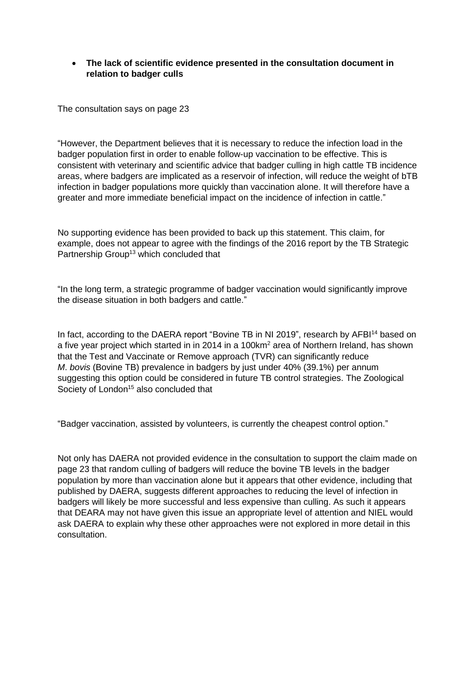## **The lack of scientific evidence presented in the consultation document in relation to badger culls**

The consultation says on page 23

"However, the Department believes that it is necessary to reduce the infection load in the badger population first in order to enable follow-up vaccination to be effective. This is consistent with veterinary and scientific advice that badger culling in high cattle TB incidence areas, where badgers are implicated as a reservoir of infection, will reduce the weight of bTB infection in badger populations more quickly than vaccination alone. It will therefore have a greater and more immediate beneficial impact on the incidence of infection in cattle."

No supporting evidence has been provided to back up this statement. This claim, for example, does not appear to agree with the findings of the 2016 report by the TB Strategic Partnership Group<sup>13</sup> which concluded that

"In the long term, a strategic programme of badger vaccination would significantly improve the disease situation in both badgers and cattle."

In fact, according to the DAERA report "Bovine TB in NI 2019", research by AFBI<sup>14</sup> based on a five year project which started in in 2014 in a 100km<sup>2</sup> area of Northern Ireland, has shown that the Test and Vaccinate or Remove approach (TVR) can significantly reduce *M*. *bovis* (Bovine TB) prevalence in badgers by just under 40% (39.1%) per annum suggesting this option could be considered in future TB control strategies. The Zoological Society of London<sup>15</sup> also concluded that

"Badger vaccination, assisted by volunteers, is currently the cheapest control option."

Not only has DAERA not provided evidence in the consultation to support the claim made on page 23 that random culling of badgers will reduce the bovine TB levels in the badger population by more than vaccination alone but it appears that other evidence, including that published by DAERA, suggests different approaches to reducing the level of infection in badgers will likely be more successful and less expensive than culling. As such it appears that DEARA may not have given this issue an appropriate level of attention and NIEL would ask DAERA to explain why these other approaches were not explored in more detail in this consultation.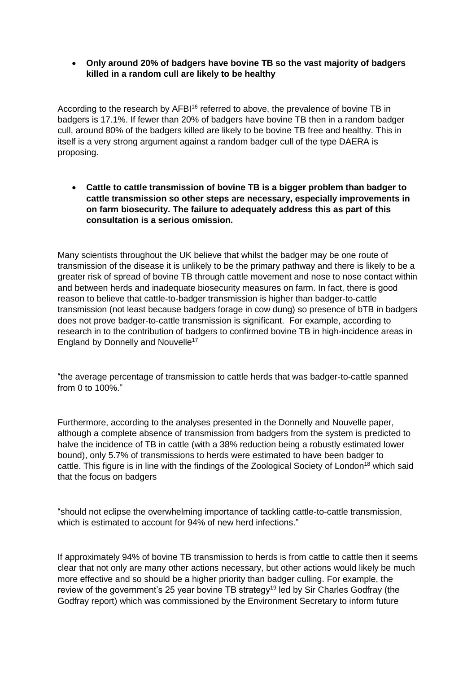**Only around 20% of badgers have bovine TB so the vast majority of badgers killed in a random cull are likely to be healthy** 

According to the research by AFBI<sup>16</sup> referred to above, the prevalence of bovine TB in badgers is 17.1%. If fewer than 20% of badgers have bovine TB then in a random badger cull, around 80% of the badgers killed are likely to be bovine TB free and healthy. This in itself is a very strong argument against a random badger cull of the type DAERA is proposing.

 **Cattle to cattle transmission of bovine TB is a bigger problem than badger to cattle transmission so other steps are necessary, especially improvements in on farm biosecurity. The failure to adequately address this as part of this consultation is a serious omission.** 

Many scientists throughout the UK believe that whilst the badger may be one route of transmission of the disease it is unlikely to be the primary pathway and there is likely to be a greater risk of spread of bovine TB through cattle movement and nose to nose contact within and between herds and inadequate biosecurity measures on farm. In fact, there is good reason to believe that cattle-to-badger transmission is higher than badger-to-cattle transmission (not least because badgers forage in cow dung) so presence of bTB in badgers does not prove badger-to-cattle transmission is significant. For example, according to research in to the contribution of badgers to confirmed bovine TB in high-incidence areas in England by Donnelly and Nouvelle<sup>17</sup>

"the average percentage of transmission to cattle herds that was badger-to-cattle spanned from 0 to 100%."

Furthermore, according to the analyses presented in the Donnelly and Nouvelle paper, although a complete absence of transmission from badgers from the system is predicted to halve the incidence of TB in cattle (with a 38% reduction being a robustly estimated lower bound), only 5.7% of transmissions to herds were estimated to have been badger to cattle. This figure is in line with the findings of the Zoological Society of London<sup>18</sup> which said that the focus on badgers

"should not eclipse the overwhelming importance of tackling cattle-to-cattle transmission, which is estimated to account for 94% of new herd infections."

If approximately 94% of bovine TB transmission to herds is from cattle to cattle then it seems clear that not only are many other actions necessary, but other actions would likely be much more effective and so should be a higher priority than badger culling. For example, the review of the government's 25 year bovine TB strategy<sup>19</sup> led by Sir Charles Godfray (the Godfray report) which was commissioned by the Environment Secretary to inform future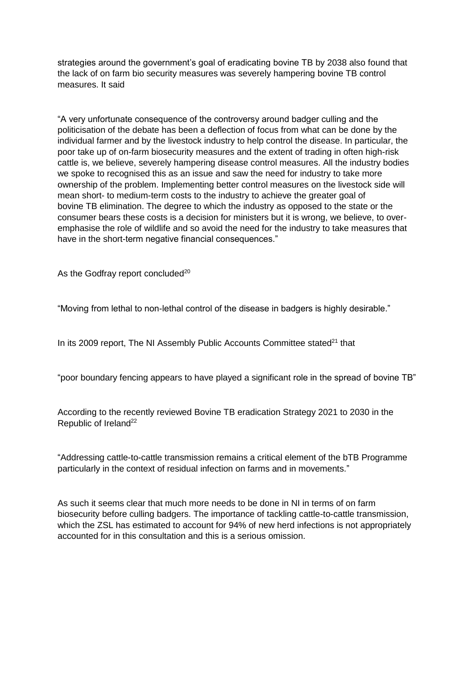strategies around the government's goal of eradicating bovine TB by 2038 also found that the lack of on farm bio security measures was severely hampering bovine TB control measures. It said

"A very unfortunate consequence of the controversy around badger culling and the politicisation of the debate has been a deflection of focus from what can be done by the individual farmer and by the livestock industry to help control the disease. In particular, the poor take up of on-farm biosecurity measures and the extent of trading in often high-risk cattle is, we believe, severely hampering disease control measures. All the industry bodies we spoke to recognised this as an issue and saw the need for industry to take more ownership of the problem. Implementing better control measures on the livestock side will mean short- to medium-term costs to the industry to achieve the greater goal of bovine TB elimination. The degree to which the industry as opposed to the state or the consumer bears these costs is a decision for ministers but it is wrong, we believe, to overemphasise the role of wildlife and so avoid the need for the industry to take measures that have in the short-term negative financial consequences."

As the Godfray report concluded<sup>20</sup>

"Moving from lethal to non-lethal control of the disease in badgers is highly desirable."

In its 2009 report, The NI Assembly Public Accounts Committee stated $21$  that

"poor boundary fencing appears to have played a significant role in the spread of bovine TB"

According to the recently reviewed Bovine TB eradication Strategy 2021 to 2030 in the Republic of Ireland<sup>22</sup>

"Addressing cattle-to-cattle transmission remains a critical element of the bTB Programme particularly in the context of residual infection on farms and in movements."

As such it seems clear that much more needs to be done in NI in terms of on farm biosecurity before culling badgers. The importance of tackling cattle-to-cattle transmission, which the ZSL has estimated to account for 94% of new herd infections is not appropriately accounted for in this consultation and this is a serious omission.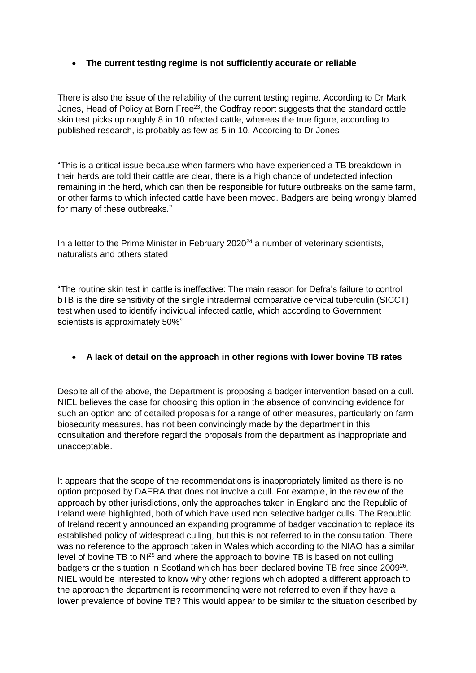## **The current testing regime is not sufficiently accurate or reliable**

There is also the issue of the reliability of the current testing regime. According to Dr Mark Jones, Head of Policy at Born Free<sup>23</sup>, the Godfray report suggests that the standard cattle skin test picks up roughly 8 in 10 infected cattle, whereas the true figure, according to published research, is probably as few as 5 in 10. According to Dr Jones

"This is a critical issue because when farmers who have experienced a TB breakdown in their herds are told their cattle are clear, there is a high chance of undetected infection remaining in the herd, which can then be responsible for future outbreaks on the same farm, or other farms to which infected cattle have been moved. Badgers are being wrongly blamed for many of these outbreaks."

In a letter to the Prime Minister in February 2020<sup>24</sup> a number of veterinary scientists, naturalists and others stated

"The routine skin test in cattle is ineffective: The main reason for Defra's failure to control bTB is the dire sensitivity of the single intradermal comparative cervical tuberculin (SICCT) test when used to identify individual infected cattle, which according to Government scientists is approximately 50%"

#### **A lack of detail on the approach in other regions with lower bovine TB rates**

Despite all of the above, the Department is proposing a badger intervention based on a cull. NIEL believes the case for choosing this option in the absence of convincing evidence for such an option and of detailed proposals for a range of other measures, particularly on farm biosecurity measures, has not been convincingly made by the department in this consultation and therefore regard the proposals from the department as inappropriate and unacceptable.

It appears that the scope of the recommendations is inappropriately limited as there is no option proposed by DAERA that does not involve a cull. For example, in the review of the approach by other jurisdictions, only the approaches taken in England and the Republic of Ireland were highlighted, both of which have used non selective badger culls. The Republic of Ireland recently announced an expanding programme of badger vaccination to replace its established policy of widespread culling, but this is not referred to in the consultation. There was no reference to the approach taken in Wales which according to the NIAO has a similar level of bovine TB to NI<sup>25</sup> and where the approach to bovine TB is based on not culling badgers or the situation in Scotland which has been declared bovine TB free since 2009<sup>26</sup>. NIEL would be interested to know why other regions which adopted a different approach to the approach the department is recommending were not referred to even if they have a lower prevalence of bovine TB? This would appear to be similar to the situation described by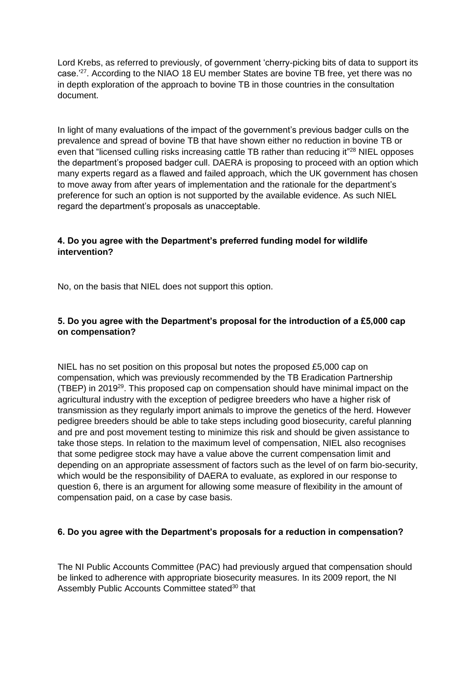Lord Krebs, as referred to previously, of government 'cherry-picking bits of data to support its case.'<sup>27</sup>. According to the NIAO 18 EU member States are bovine TB free, yet there was no in depth exploration of the approach to bovine TB in those countries in the consultation document.

In light of many evaluations of the impact of the government's previous badger culls on the prevalence and spread of bovine TB that have shown either no reduction in bovine TB or even that "licensed culling risks increasing cattle TB rather than reducing it"<sup>28</sup> NIEL opposes the department's proposed badger cull. DAERA is proposing to proceed with an option which many experts regard as a flawed and failed approach, which the UK government has chosen to move away from after years of implementation and the rationale for the department's preference for such an option is not supported by the available evidence. As such NIEL regard the department's proposals as unacceptable.

# **4. Do you agree with the Department's preferred funding model for wildlife intervention?**

No, on the basis that NIEL does not support this option.

# **5. Do you agree with the Department's proposal for the introduction of a £5,000 cap on compensation?**

NIEL has no set position on this proposal but notes the proposed £5,000 cap on compensation, which was previously recommended by the TB Eradication Partnership (TBEP) in 2019<sup>29</sup>. This proposed cap on compensation should have minimal impact on the agricultural industry with the exception of pedigree breeders who have a higher risk of transmission as they regularly import animals to improve the genetics of the herd. However pedigree breeders should be able to take steps including good biosecurity, careful planning and pre and post movement testing to minimize this risk and should be given assistance to take those steps. In relation to the maximum level of compensation, NIEL also recognises that some pedigree stock may have a value above the current compensation limit and depending on an appropriate assessment of factors such as the level of on farm bio-security, which would be the responsibility of DAERA to evaluate, as explored in our response to question 6, there is an argument for allowing some measure of flexibility in the amount of compensation paid, on a case by case basis.

# **6. Do you agree with the Department's proposals for a reduction in compensation?**

The NI Public Accounts Committee (PAC) had previously argued that compensation should be linked to adherence with appropriate biosecurity measures. In its 2009 report, the NI Assembly Public Accounts Committee stated<sup>30</sup> that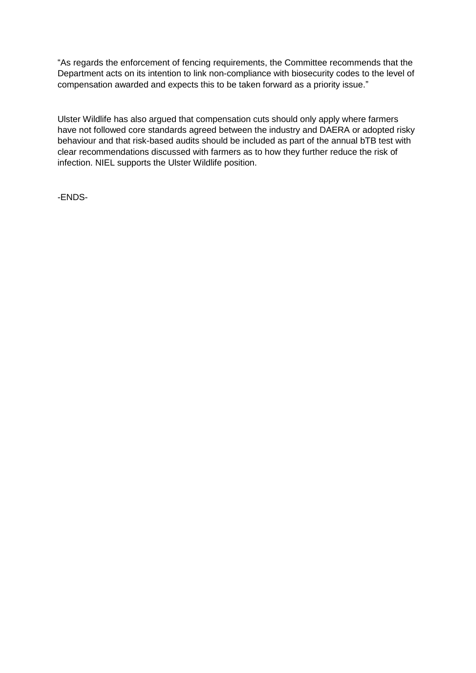"As regards the enforcement of fencing requirements, the Committee recommends that the Department acts on its intention to link non-compliance with biosecurity codes to the level of compensation awarded and expects this to be taken forward as a priority issue."

Ulster Wildlife has also argued that compensation cuts should only apply where farmers have not followed core standards agreed between the industry and DAERA or adopted risky behaviour and that risk-based audits should be included as part of the annual bTB test with clear recommendations discussed with farmers as to how they further reduce the risk of infection. NIEL supports the Ulster Wildlife position.

-ENDS-